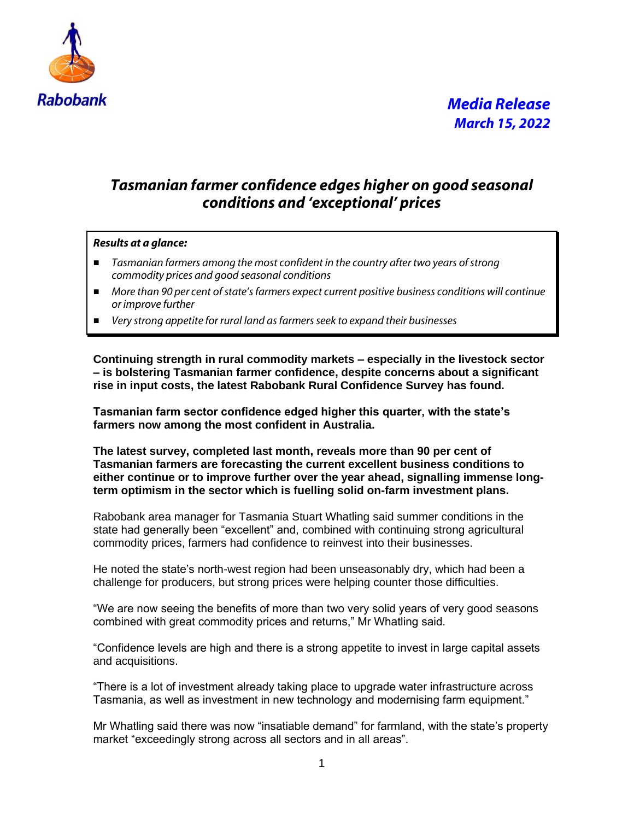

### *Tasmanian farmer confidence edges higher on good seasonal conditions and 'exceptional' prices*

#### *Results at a glance:*

- *Tasmanian farmers among the most confident in the country after two years of strong commodity prices and good seasonal conditions*
- *More than 90 per cent of state's farmers expect current positive business conditions will continue or improve further*
- *Very strong appetite for rural land as farmers seek to expand their businesses*

**Continuing strength in rural commodity markets – especially in the livestock sector – is bolstering Tasmanian farmer confidence, despite concerns about a significant rise in input costs, the latest Rabobank Rural Confidence Survey has found.**

**Tasmanian farm sector confidence edged higher this quarter, with the state's farmers now among the most confident in Australia.**

**The latest survey, completed last month, reveals more than 90 per cent of Tasmanian farmers are forecasting the current excellent business conditions to either continue or to improve further over the year ahead, signalling immense longterm optimism in the sector which is fuelling solid on-farm investment plans.** 

Rabobank area manager for Tasmania Stuart Whatling said summer conditions in the state had generally been "excellent" and, combined with continuing strong agricultural commodity prices, farmers had confidence to reinvest into their businesses.

He noted the state's north-west region had been unseasonably dry, which had been a challenge for producers, but strong prices were helping counter those difficulties.

"We are now seeing the benefits of more than two very solid years of very good seasons combined with great commodity prices and returns," Mr Whatling said.

"Confidence levels are high and there is a strong appetite to invest in large capital assets and acquisitions.

"There is a lot of investment already taking place to upgrade water infrastructure across Tasmania, as well as investment in new technology and modernising farm equipment."

Mr Whatling said there was now "insatiable demand" for farmland, with the state's property market "exceedingly strong across all sectors and in all areas".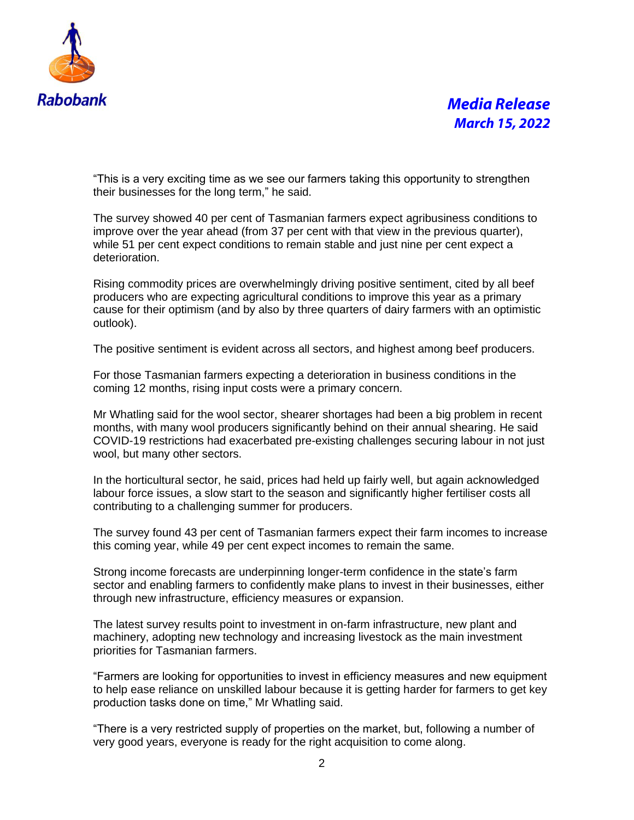

# *Media Release March 15, 2022*

"This is a very exciting time as we see our farmers taking this opportunity to strengthen their businesses for the long term," he said.

The survey showed 40 per cent of Tasmanian farmers expect agribusiness conditions to improve over the year ahead (from 37 per cent with that view in the previous quarter), while 51 per cent expect conditions to remain stable and just nine per cent expect a deterioration.

Rising commodity prices are overwhelmingly driving positive sentiment, cited by all beef producers who are expecting agricultural conditions to improve this year as a primary cause for their optimism (and by also by three quarters of dairy farmers with an optimistic outlook).

The positive sentiment is evident across all sectors, and highest among beef producers.

For those Tasmanian farmers expecting a deterioration in business conditions in the coming 12 months, rising input costs were a primary concern.

Mr Whatling said for the wool sector, shearer shortages had been a big problem in recent months, with many wool producers significantly behind on their annual shearing. He said COVID-19 restrictions had exacerbated pre-existing challenges securing labour in not just wool, but many other sectors.

In the horticultural sector, he said, prices had held up fairly well, but again acknowledged labour force issues, a slow start to the season and significantly higher fertiliser costs all contributing to a challenging summer for producers.

The survey found 43 per cent of Tasmanian farmers expect their farm incomes to increase this coming year, while 49 per cent expect incomes to remain the same.

Strong income forecasts are underpinning longer-term confidence in the state's farm sector and enabling farmers to confidently make plans to invest in their businesses, either through new infrastructure, efficiency measures or expansion.

The latest survey results point to investment in on-farm infrastructure, new plant and machinery, adopting new technology and increasing livestock as the main investment priorities for Tasmanian farmers.

"Farmers are looking for opportunities to invest in efficiency measures and new equipment to help ease reliance on unskilled labour because it is getting harder for farmers to get key production tasks done on time," Mr Whatling said.

"There is a very restricted supply of properties on the market, but, following a number of very good years, everyone is ready for the right acquisition to come along.